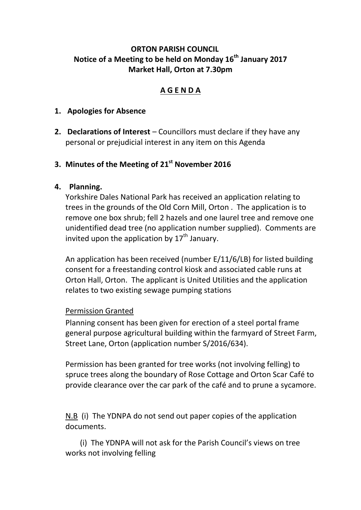## **ORTON PARISH COUNCIL Notice of a Meeting to be held on Monday 16th January 2017 Market Hall, Orton at 7.30pm**

# **A G E N D A**

### **1. Apologies for Absence**

**2. Declarations of Interest** – Councillors must declare if they have any personal or prejudicial interest in any item on this Agenda

# **3. Minutes of the Meeting of 21st November 2016**

### **4. Planning.**

Yorkshire Dales National Park has received an application relating to trees in the grounds of the Old Corn Mill, Orton . The application is to remove one box shrub; fell 2 hazels and one laurel tree and remove one unidentified dead tree (no application number supplied). Comments are invited upon the application by  $17<sup>th</sup>$  January.

An application has been received (number E/11/6/LB) for listed building consent for a freestanding control kiosk and associated cable runs at Orton Hall, Orton. The applicant is United Utilities and the application relates to two existing sewage pumping stations

#### Permission Granted

Planning consent has been given for erection of a steel portal frame general purpose agricultural building within the farmyard of Street Farm, Street Lane, Orton (application number S/2016/634).

Permission has been granted for tree works (not involving felling) to spruce trees along the boundary of Rose Cottage and Orton Scar Café to provide clearance over the car park of the café and to prune a sycamore.

N.B (i) The YDNPA do not send out paper copies of the application documents.

(i) The YDNPA will not ask for the Parish Council's views on tree works not involving felling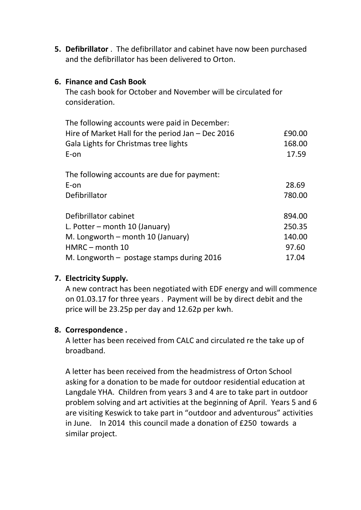**5. Defibrillator** . The defibrillator and cabinet have now been purchased and the defibrillator has been delivered to Orton.

### **6. Finance and Cash Book**

The cash book for October and November will be circulated for consideration.

| The following accounts were paid in December:       |        |
|-----------------------------------------------------|--------|
| Hire of Market Hall for the period Jan $-$ Dec 2016 | £90.00 |
| Gala Lights for Christmas tree lights               | 168.00 |
| E-on                                                | 17.59  |
| The following accounts are due for payment:         |        |
| E-on                                                | 28.69  |
| Defibrillator                                       | 780.00 |
| Defibrillator cabinet                               | 894.00 |
| L. Potter – month 10 (January)                      | 250.35 |
| M. Longworth – month 10 (January)                   | 140.00 |
| $HMRC$ – month 10                                   | 97.60  |
| M. Longworth $-$ postage stamps during 2016         | 17.04  |

### **7. Electricity Supply.**

A new contract has been negotiated with EDF energy and will commence on 01.03.17 for three years . Payment will be by direct debit and the price will be 23.25p per day and 12.62p per kwh.

#### **8. Correspondence .**

A letter has been received from CALC and circulated re the take up of broadband.

A letter has been received from the headmistress of Orton School asking for a donation to be made for outdoor residential education at Langdale YHA. Children from years 3 and 4 are to take part in outdoor problem solving and art activities at the beginning of April. Years 5 and 6 are visiting Keswick to take part in "outdoor and adventurous" activities in June. In 2014 this council made a donation of £250 towards a similar project.